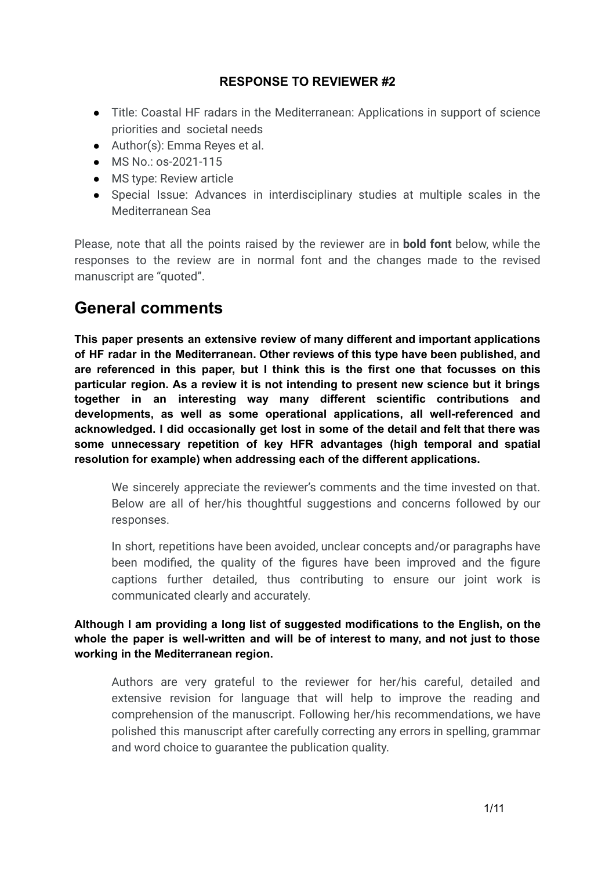# **RESPONSE TO REVIEWER #2**

- Title: Coastal HF radars in the Mediterranean: Applications in support of science priorities and societal needs
- Author(s): Emma Reyes et al.
- MS No.: os-2021-115
- MS type: Review article
- Special Issue: Advances in interdisciplinary studies at multiple scales in the Mediterranean Sea

Please, note that all the points raised by the reviewer are in **bold font** below, while the responses to the review are in normal font and the changes made to the revised manuscript are "quoted".

# **General comments**

**This paper presents an extensive review of many different and important applications of HF radar in the Mediterranean. Other reviews of this type have been published, and are referenced in this paper, but I think this is the first one that focusses on this particular region. As a review it is not intending to present new science but it brings together in an interesting way many different scientific contributions and developments, as well as some operational applications, all well-referenced and acknowledged. I did occasionally get lost in some of the detail and felt that there was some unnecessary repetition of key HFR advantages (high temporal and spatial resolution for example) when addressing each of the different applications.**

We sincerely appreciate the reviewer's comments and the time invested on that. Below are all of her/his thoughtful suggestions and concerns followed by our responses.

In short, repetitions have been avoided, unclear concepts and/or paragraphs have been modified, the quality of the figures have been improved and the figure captions further detailed, thus contributing to ensure our joint work is communicated clearly and accurately.

**Although I am providing a long list of suggested modifications to the English, on the whole the paper is well-written and will be of interest to many, and not just to those working in the Mediterranean region.**

Authors are very grateful to the reviewer for her/his careful, detailed and extensive revision for language that will help to improve the reading and comprehension of the manuscript. Following her/his recommendations, we have polished this manuscript after carefully correcting any errors in spelling, grammar and word choice to guarantee the publication quality.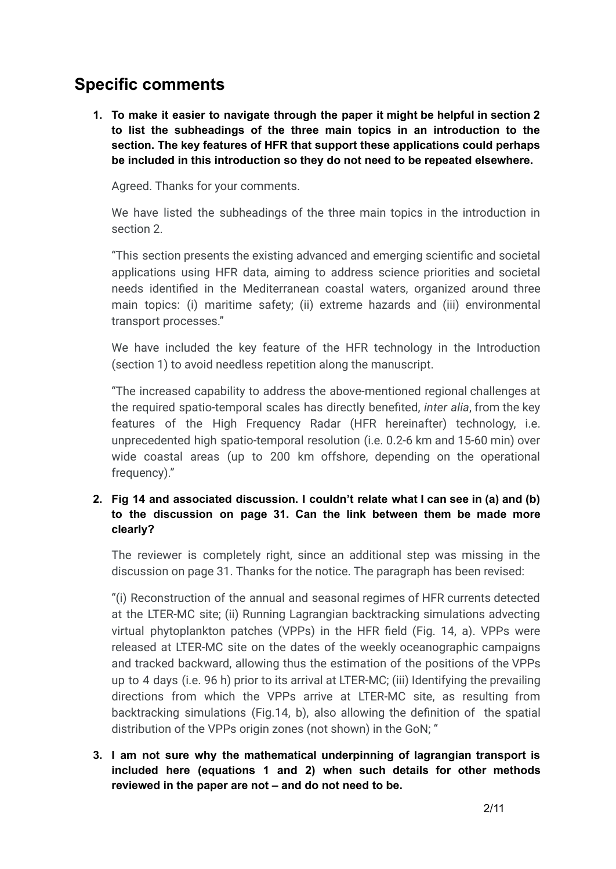# **Specific comments**

**1. To make it easier to navigate through the paper it might be helpful in section 2 to list the subheadings of the three main topics in an introduction to the section. The key features of HFR that support these applications could perhaps be included in this introduction so they do not need to be repeated elsewhere.**

Agreed. Thanks for your comments.

We have listed the subheadings of the three main topics in the introduction in section 2.

"This section presents the existing advanced and emerging scientific and societal applications using HFR data, aiming to address science priorities and societal needs identified in the Mediterranean coastal waters, organized around three main topics: (i) maritime safety; (ii) extreme hazards and (iii) environmental transport processes."

We have included the key feature of the HFR technology in the Introduction (section 1) to avoid needless repetition along the manuscript.

"The increased capability to address the above-mentioned regional challenges at the required spatio-temporal scales has directly benefited, *inter alia*, from the key features of the High Frequency Radar (HFR hereinafter) technology, i.e. unprecedented high spatio-temporal resolution (i.e. 0.2-6 km and 15-60 min) over wide coastal areas (up to 200 km offshore, depending on the operational frequency)."

# **2. Fig 14 and associated discussion. I couldn't relate what I can see in (a) and (b) to the discussion on page 31. Can the link between them be made more clearly?**

The reviewer is completely right, since an additional step was missing in the discussion on page 31. Thanks for the notice. The paragraph has been revised:

"(i) Reconstruction of the annual and seasonal regimes of HFR currents detected at the LTER-MC site; (ii) Running Lagrangian backtracking simulations advecting virtual phytoplankton patches (VPPs) in the HFR field (Fig. 14, a). VPPs were released at LTER-MC site on the dates of the weekly oceanographic campaigns and tracked backward, allowing thus the estimation of the positions of the VPPs up to 4 days (i.e. 96 h) prior to its arrival at LTER-MC; (iii) Identifying the prevailing directions from which the VPPs arrive at LTER-MC site, as resulting from backtracking simulations (Fig.14, b), also allowing the definition of the spatial distribution of the VPPs origin zones (not shown) in the GoN; "

**3. I am not sure why the mathematical underpinning of lagrangian transport is included here (equations 1 and 2) when such details for other methods reviewed in the paper are not – and do not need to be.**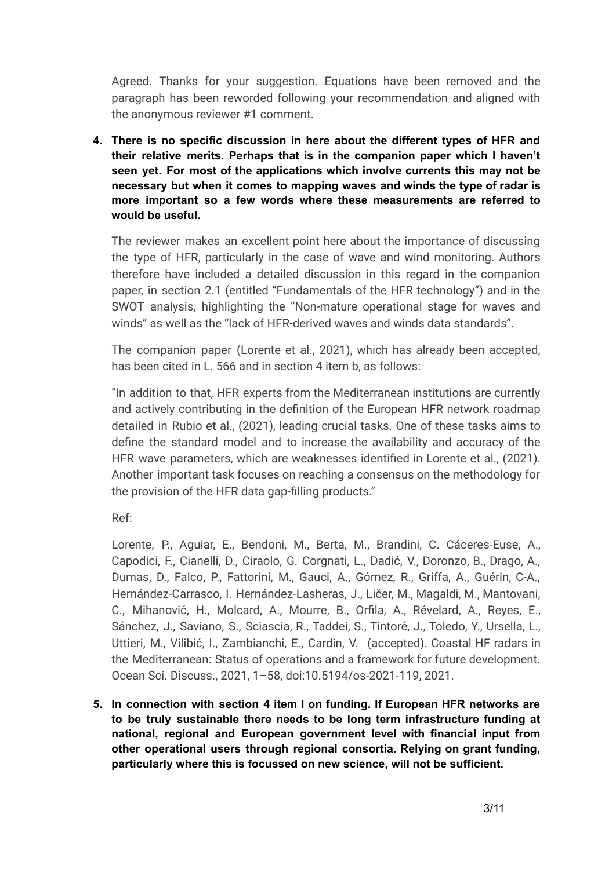Agreed. Thanks for your suggestion. Equations have been removed and the paragraph has been reworded following your recommendation and aligned with the anonymous reviewer #1 comment.

**4. There is no specific discussion in here about the different types of HFR and their relative merits. Perhaps that is in the companion paper which I haven't seen yet. For most of the applications which involve currents this may not be necessary but when it comes to mapping waves and winds the type of radar is more important so a few words where these measurements are referred to would be useful.**

The reviewer makes an excellent point here about the importance of discussing the type of HFR, particularly in the case of wave and wind monitoring. Authors therefore have included a detailed discussion in this regard in the companion paper, in section 2.1 (entitled "Fundamentals of the HFR technology") and in the SWOT analysis, highlighting the "Non-mature operational stage for waves and winds" as well as the "lack of HFR-derived waves and winds data standards".

The companion paper (Lorente et al., 2021), which has already been accepted, has been cited in L. 566 and in section 4 item b, as follows:

"In addition to that, HFR experts from the Mediterranean institutions are currently and actively contributing in the definition of the European HFR network roadmap detailed in Rubio et al., (2021), leading crucial tasks. One of these tasks aims to define the standard model and to increase the availability and accuracy of the HFR wave parameters, which are weaknesses identified in Lorente et al., (2021). Another important task focuses on reaching a consensus on the methodology for the provision of the HFR data gap-filling products."

Ref:

Lorente, P., Aguiar, E., Bendoni, M., Berta, M., Brandini, C. Cáceres-Euse, A., Capodici, F., Cianelli, D., Ciraolo, G. Corgnati, L., Dadić, V., Doronzo, B., Drago, A., Dumas, D., Falco, P., Fattorini, M., Gauci, A., Gómez, R., Griffa, A., Guérin, C-A., Hernández-Carrasco, I. Hernández-Lasheras, J., Ličer, M., Magaldi, M., Mantovani, C., Mihanović, H., Molcard, A., Mourre, B., Orfila, A., Révelard, A., Reyes, E., Sánchez, J., Saviano, S., Sciascia, R., Taddei, S., Tintoré, J., Toledo, Y., Ursella, L., Uttieri, M., Vilibić, I., Zambianchi, E., Cardin, V. (accepted). Coastal HF radars in the Mediterranean: Status of operations and a framework for future development. Ocean Sci. Discuss., 2021, 1–58, doi:10.5194/os-2021-119, 2021.

**5. In connection with section 4 item l on funding. If European HFR networks are to be truly sustainable there needs to be long term infrastructure funding at national, regional and European government level with financial input from other operational users through regional consortia. Relying on grant funding, particularly where this is focussed on new science, will not be sufficient.**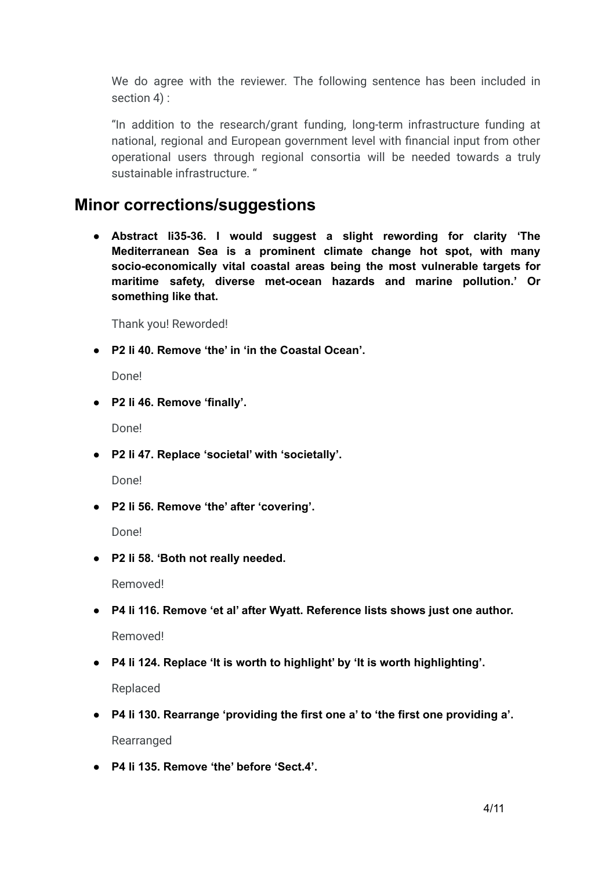We do agree with the reviewer. The following sentence has been included in section 4) :

"In addition to the research/grant funding, long-term infrastructure funding at national, regional and European government level with financial input from other operational users through regional consortia will be needed towards a truly sustainable infrastructure. "

# **Minor corrections/suggestions**

**● Abstract li35-36. I would suggest a slight rewording for clarity 'The Mediterranean Sea is a prominent climate change hot spot, with many socio-economically vital coastal areas being the most vulnerable targets for maritime safety, diverse met-ocean hazards and marine pollution.' Or something like that.**

Thank you! Reworded!

**● P2 li 40. Remove 'the' in 'in the Coastal Ocean'.**

Done!

**● P2 li 46. Remove 'finally'.**

Done!

**● P2 li 47. Replace 'societal' with 'societally'.**

Done!

**● P2 li 56. Remove 'the' after 'covering'.**

Done!

**● P2 li 58. 'Both not really needed.**

Removed!

**● P4 li 116. Remove 'et al' after Wyatt. Reference lists shows just one author.**

Removed!

**● P4 li 124. Replace 'It is worth to highlight' by 'It is worth highlighting'.**

Replaced

- **● P4 li 130. Rearrange 'providing the first one a' to 'the first one providing a'.** Rearranged
- **● P4 li 135. Remove 'the' before 'Sect.4'.**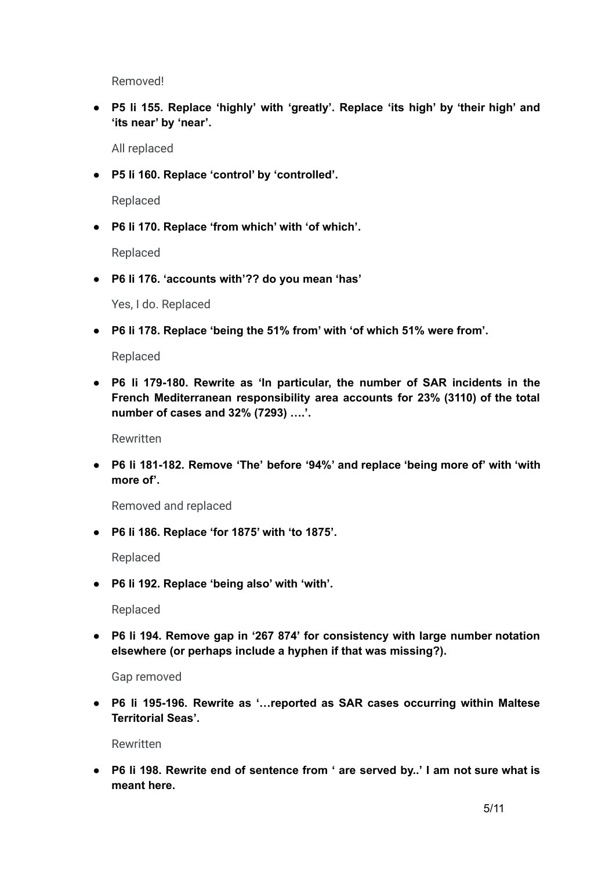Removed!

**● P5 li 155. Replace 'highly' with 'greatly'. Replace 'its high' by 'their high' and 'its near' by 'near'.**

All replaced

**● P5 li 160. Replace 'control' by 'controlled'.**

Replaced

**● P6 li 170. Replace 'from which' with 'of which'.**

Replaced

**● P6 li 176. 'accounts with'?? do you mean 'has'**

Yes, I do. Replaced

**● P6 li 178. Replace 'being the 51% from' with 'of which 51% were from'.**

Replaced

**● P6 li 179-180. Rewrite as 'In particular, the number of SAR incidents in the French Mediterranean responsibility area accounts for 23% (3110) of the total number of cases and 32% (7293) ….'.**

Rewritten

**● P6 li 181-182. Remove 'The' before '94%' and replace 'being more of' with 'with more of'.**

Removed and replaced

**● P6 li 186. Replace 'for 1875' with 'to 1875'.**

Replaced

**● P6 li 192. Replace 'being also' with 'with'.**

Replaced

**● P6 li 194. Remove gap in '267 874' for consistency with large number notation elsewhere (or perhaps include a hyphen if that was missing?).**

Gap removed

**● P6 li 195-196. Rewrite as '…reported as SAR cases occurring within Maltese Territorial Seas'.**

Rewritten

**● P6 li 198. Rewrite end of sentence from ' are served by..' I am not sure what is meant here.**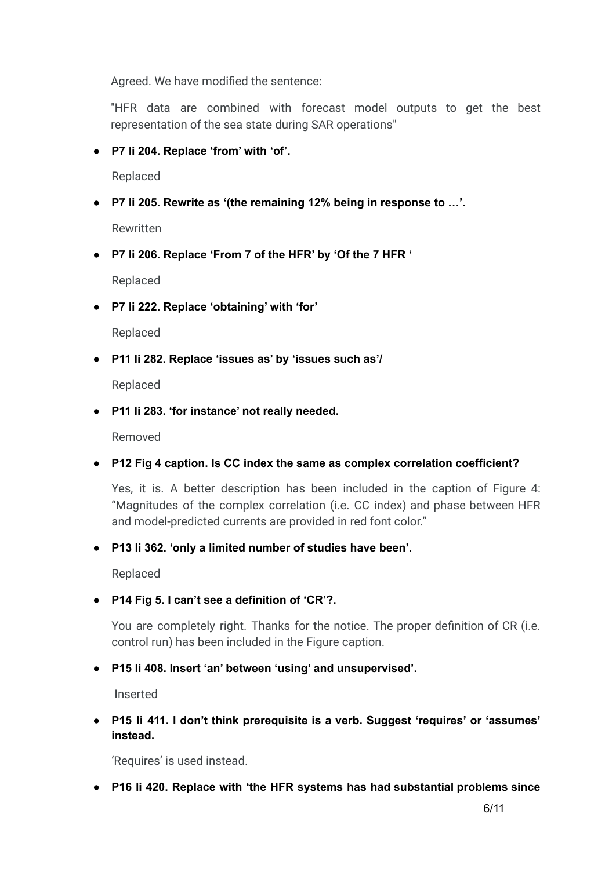Agreed. We have modified the sentence:

"HFR data are combined with forecast model outputs to get the best representation of the sea state during SAR operations"

**● P7 li 204. Replace 'from' with 'of'.**

Replaced

**● P7 li 205. Rewrite as '(the remaining 12% being in response to …'.**

Rewritten

**● P7 li 206. Replace 'From 7 of the HFR' by 'Of the 7 HFR '**

Replaced

**● P7 li 222. Replace 'obtaining' with 'for'**

Replaced

**● P11 li 282. Replace 'issues as' by 'issues such as'/**

Replaced

**● P11 li 283. 'for instance' not really needed.**

Removed

**● P12 Fig 4 caption. Is CC index the same as complex correlation coefficient?**

Yes, it is. A better description has been included in the caption of Figure 4: "Magnitudes of the complex correlation (i.e. CC index) and phase between HFR and model-predicted currents are provided in red font color."

**● P13 li 362. 'only a limited number of studies have been'.**

Replaced

**● P14 Fig 5. I can't see a definition of 'CR'?.**

You are completely right. Thanks for the notice. The proper definition of CR (i.e. control run) has been included in the Figure caption.

**● P15 li 408. Insert 'an' between 'using' and unsupervised'.**

Inserted

**● P15 li 411. I don't think prerequisite is a verb. Suggest 'requires' or 'assumes' instead.**

'Requires' is used instead.

**● P16 li 420. Replace with 'the HFR systems has had substantial problems since**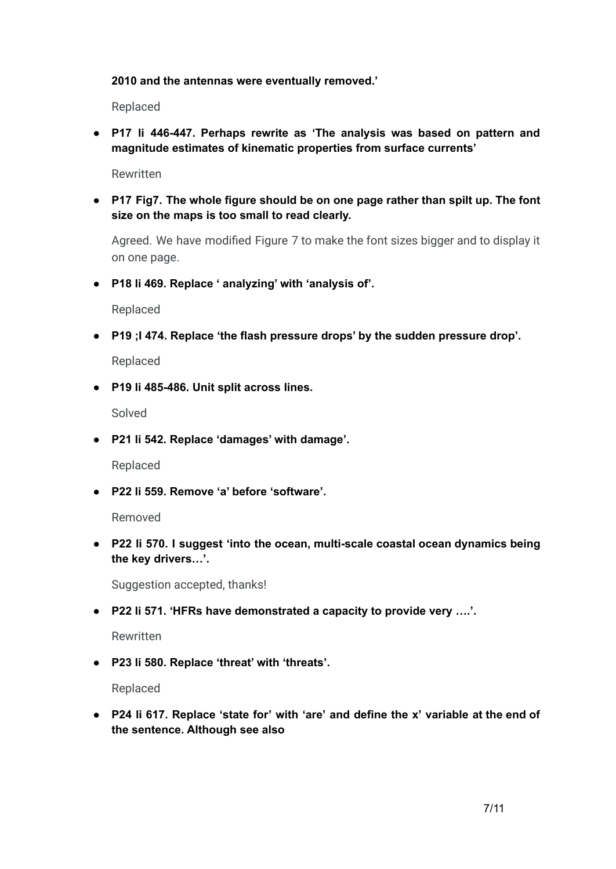#### **2010 and the antennas were eventually removed.'**

Replaced

**● P17 li 446-447. Perhaps rewrite as 'The analysis was based on pattern and magnitude estimates of kinematic properties from surface currents'**

Rewritten

**● P17 Fig7. The whole figure should be on one page rather than spilt up. The font size on the maps is too small to read clearly.**

Agreed. We have modified Figure 7 to make the font sizes bigger and to display it on one page.

**● P18 li 469. Replace ' analyzing' with 'analysis of'.**

Replaced

**● P19 ;I 474. Replace 'the flash pressure drops' by the sudden pressure drop'.**

Replaced

**● P19 li 485-486. Unit split across lines.**

Solved

**● P21 li 542. Replace 'damages' with damage'.**

Replaced

**● P22 li 559. Remove 'a' before 'software'.**

Removed

**● P22 li 570. I suggest 'into the ocean, multi-scale coastal ocean dynamics being the key drivers…'.**

Suggestion accepted, thanks!

**● P22 li 571. 'HFRs have demonstrated a capacity to provide very ….'.**

Rewritten

**● P23 li 580. Replace 'threat' with 'threats'.**

Replaced

**● P24 li 617. Replace 'state for' with 'are' and define the x' variable at the end of the sentence. Although see also**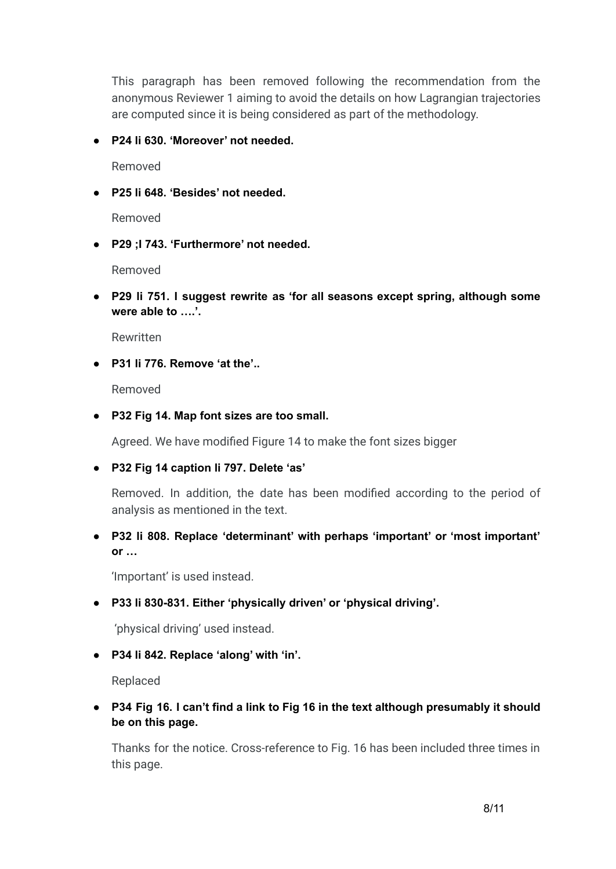This paragraph has been removed following the recommendation from the anonymous Reviewer 1 aiming to avoid the details on how Lagrangian trajectories are computed since it is being considered as part of the methodology.

# **● P24 li 630. 'Moreover' not needed.**

Removed

**● P25 li 648. 'Besides' not needed.**

Removed

**● P29 ;I 743. 'Furthermore' not needed.**

Removed

**● P29 li 751. I suggest rewrite as 'for all seasons except spring, although some were able to ….'.**

Rewritten

**● P31 li 776. Remove 'at the'..**

Removed

**● P32 Fig 14. Map font sizes are too small.**

Agreed. We have modified Figure 14 to make the font sizes bigger

**● P32 Fig 14 caption li 797. Delete 'as'**

Removed. In addition, the date has been modified according to the period of analysis as mentioned in the text.

**● P32 li 808. Replace 'determinant' with perhaps 'important' or 'most important' or …**

'Important' is used instead.

**● P33 li 830-831. Either 'physically driven' or 'physical driving'.**

'physical driving' used instead.

**● P34 li 842. Replace 'along' with 'in'.**

Replaced

**● P34 Fig 16. I can't find a link to Fig 16 in the text although presumably it should be on this page.**

Thanks for the notice. Cross-reference to Fig. 16 has been included three times in this page.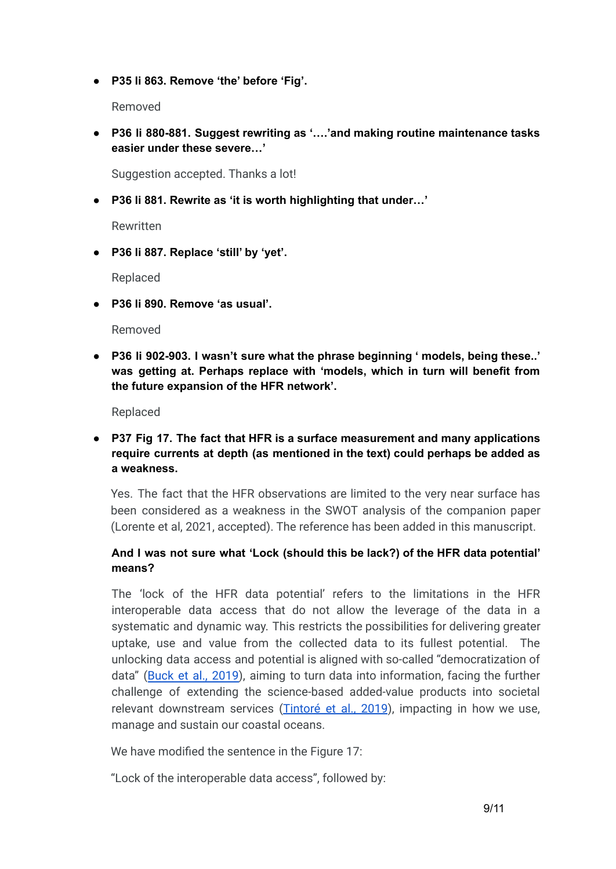**● P35 li 863. Remove 'the' before 'Fig'.**

Removed

**● P36 li 880-881. Suggest rewriting as '….'and making routine maintenance tasks easier under these severe…'**

Suggestion accepted. Thanks a lot!

**● P36 li 881. Rewrite as 'it is worth highlighting that under…'**

Rewritten

**● P36 li 887. Replace 'still' by 'yet'.**

Replaced

**● P36 li 890. Remove 'as usual'.**

Removed

**● P36 li 902-903. I wasn't sure what the phrase beginning ' models, being these..' was getting at. Perhaps replace with 'models, which in turn will benefit from the future expansion of the HFR network'.**

Replaced

**● P37 Fig 17. The fact that HFR is a surface measurement and many applications require currents at depth (as mentioned in the text) could perhaps be added as a weakness.**

Yes. The fact that the HFR observations are limited to the very near surface has been considered as a weakness in the SWOT analysis of the companion paper (Lorente et al, 2021, accepted). The reference has been added in this manuscript.

## **And I was not sure what 'Lock (should this be lack?) of the HFR data potential' means?**

The 'lock of the HFR data potential' refers to the limitations in the HFR interoperable data access that do not allow the leverage of the data in a systematic and dynamic way. This restricts the possibilities for delivering greater uptake, use and value from the collected data to its fullest potential. The unlocking data access and potential is aligned with so-called "democratization of data" (Buck et al., [2019](https://doi.org/10.3389/fmars.2019.00032)), aiming to turn data into information, facing the further challenge of extending the science-based added-value products into societal relevant downstream services [\(Tintoré](https://doi.org/10.3389/fmars.2019.00568) et al., 2019), impacting in how we use, manage and sustain our coastal oceans.

We have modified the sentence in the Figure 17:

"Lock of the interoperable data access", followed by: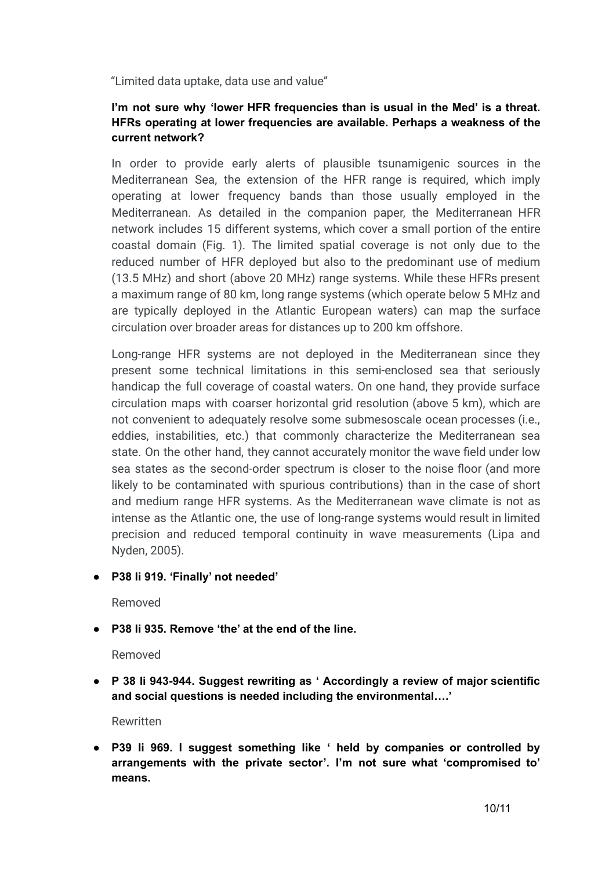"Limited data uptake, data use and value"

## **I'm not sure why 'lower HFR frequencies than is usual in the Med' is a threat. HFRs operating at lower frequencies are available. Perhaps a weakness of the current network?**

In order to provide early alerts of plausible tsunamigenic sources in the Mediterranean Sea, the extension of the HFR range is required, which imply operating at lower frequency bands than those usually employed in the Mediterranean. As detailed in the companion paper, the Mediterranean HFR network includes 15 different systems, which cover a small portion of the entire coastal domain (Fig. 1). The limited spatial coverage is not only due to the reduced number of HFR deployed but also to the predominant use of medium (13.5 MHz) and short (above 20 MHz) range systems. While these HFRs present a maximum range of 80 km, long range systems (which operate below 5 MHz and are typically deployed in the Atlantic European waters) can map the surface circulation over broader areas for distances up to 200 km offshore.

Long-range HFR systems are not deployed in the Mediterranean since they present some technical limitations in this semi-enclosed sea that seriously handicap the full coverage of coastal waters. On one hand, they provide surface circulation maps with coarser horizontal grid resolution (above 5 km), which are not convenient to adequately resolve some submesoscale ocean processes (i.e., eddies, instabilities, etc.) that commonly characterize the Mediterranean sea state. On the other hand, they cannot accurately monitor the wave field under low sea states as the second-order spectrum is closer to the noise floor (and more likely to be contaminated with spurious contributions) than in the case of short and medium range HFR systems. As the Mediterranean wave climate is not as intense as the Atlantic one, the use of long-range systems would result in limited precision and reduced temporal continuity in wave measurements (Lipa and Nyden, 2005).

**● P38 li 919. 'Finally' not needed'**

Removed

**● P38 li 935. Remove 'the' at the end of the line.**

Removed

**● P 38 li 943-944. Suggest rewriting as ' Accordingly a review of major scientific and social questions is needed including the environmental….'**

Rewritten

**● P39 li 969. I suggest something like ' held by companies or controlled by arrangements with the private sector'. I'm not sure what 'compromised to' means.**